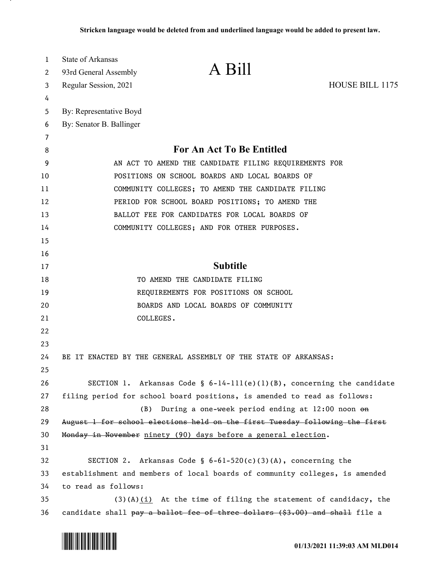| 1  | <b>State of Arkansas</b>                                                    |
|----|-----------------------------------------------------------------------------|
| 2  | A Bill<br>93rd General Assembly                                             |
| 3  | <b>HOUSE BILL 1175</b><br>Regular Session, 2021                             |
| 4  |                                                                             |
| 5  | By: Representative Boyd                                                     |
| 6  | By: Senator B. Ballinger                                                    |
| 7  |                                                                             |
| 8  | <b>For An Act To Be Entitled</b>                                            |
| 9  | AN ACT TO AMEND THE CANDIDATE FILING REQUIREMENTS FOR                       |
| 10 | POSITIONS ON SCHOOL BOARDS AND LOCAL BOARDS OF                              |
| 11 | COMMUNITY COLLEGES; TO AMEND THE CANDIDATE FILING                           |
| 12 | PERIOD FOR SCHOOL BOARD POSITIONS; TO AMEND THE                             |
| 13 | BALLOT FEE FOR CANDIDATES FOR LOCAL BOARDS OF                               |
| 14 | COMMUNITY COLLEGES; AND FOR OTHER PURPOSES.                                 |
| 15 |                                                                             |
| 16 |                                                                             |
| 17 | <b>Subtitle</b>                                                             |
| 18 | TO AMEND THE CANDIDATE FILING                                               |
| 19 | REQUIREMENTS FOR POSITIONS ON SCHOOL                                        |
| 20 | BOARDS AND LOCAL BOARDS OF COMMUNITY                                        |
| 21 | COLLEGES.                                                                   |
| 22 |                                                                             |
| 23 |                                                                             |
| 24 | BE IT ENACTED BY THE GENERAL ASSEMBLY OF THE STATE OF ARKANSAS:             |
| 25 |                                                                             |
| 26 | SECTION 1. Arkansas Code § $6-14-111(e)(1)(B)$ , concerning the candidate   |
| 27 | filing period for school board positions, is amended to read as follows:    |
| 28 | During a one-week period ending at $12:00$ noon $\Theta$ n<br>(B)           |
| 29 | August 1 for school elections held on the first Tuesday following the first |
| 30 | Monday in November ninety (90) days before a general election.              |
| 31 |                                                                             |
| 32 | SECTION 2. Arkansas Code § $6-61-520(c)(3)(A)$ , concerning the             |
| 33 | establishment and members of local boards of community colleges, is amended |
| 34 | to read as follows:                                                         |
| 35 | $(3)(A)(i)$ At the time of filing the statement of candidacy, the           |
| 36 | candidate shall pay a ballot fee of three dollars (\$3.00) and shall file a |